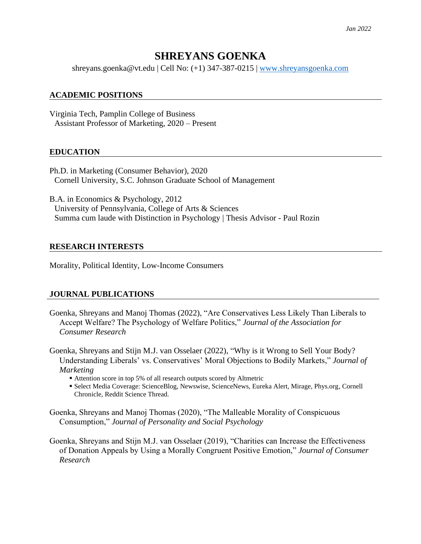# **SHREYANS GOENKA**

shreyans.goenka@vt.edu | Cell No: (+1) 347-387-0215 | [www.shreyansgoenka.com](http://www.shreyansgoenka.com/)

### **ACADEMIC POSITIONS**

Virginia Tech, Pamplin College of Business Assistant Professor of Marketing, 2020 – Present

### **EDUCATION**

Ph.D. in Marketing (Consumer Behavior), 2020 Cornell University, S.C. Johnson Graduate School of Management

B.A. in Economics & Psychology, 2012 University of Pennsylvania, College of Arts & Sciences Summa cum laude with Distinction in Psychology | Thesis Advisor - Paul Rozin

### **RESEARCH INTERESTS**

Morality, Political Identity, Low-Income Consumers

### **JOURNAL PUBLICATIONS**

- Goenka, Shreyans and Manoj Thomas (2022), "Are Conservatives Less Likely Than Liberals to Accept Welfare? The Psychology of Welfare Politics," *Journal of the Association for Consumer Research*
- Goenka, Shreyans and Stijn M.J. van Osselaer (2022), "Why is it Wrong to Sell Your Body? Understanding Liberals' vs. Conservatives' Moral Objections to Bodily Markets," *Journal of Marketing*
	- Attention score in top 5% of all research outputs scored by Altmetric
	- Select Media Coverage: ScienceBlog, Newswise, ScienceNews, Eureka Alert, Mirage, Phys.org, Cornell Chronicle, Reddit Science Thread.
- Goenka, Shreyans and Manoj Thomas (2020), "The Malleable Morality of Conspicuous Consumption," *Journal of Personality and Social Psychology*
- Goenka, Shreyans and Stijn M.J. van Osselaer (2019), "Charities can Increase the Effectiveness of Donation Appeals by Using a Morally Congruent Positive Emotion," *Journal of Consumer Research*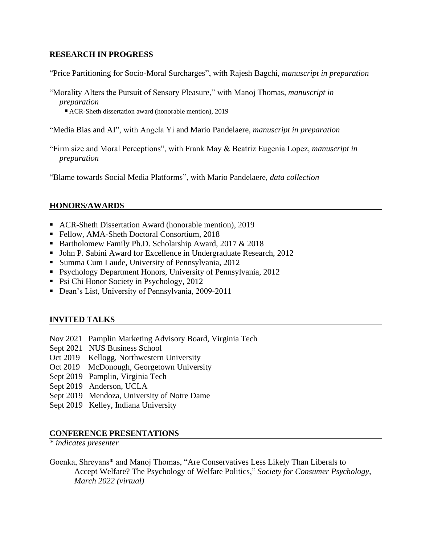### **RESEARCH IN PROGRESS**

"Price Partitioning for Socio-Moral Surcharges", with Rajesh Bagchi, *manuscript in preparation*

"Morality Alters the Pursuit of Sensory Pleasure," with Manoj Thomas, *manuscript in preparation*

■ ACR-Sheth dissertation award (honorable mention), 2019

- "Media Bias and AI", with Angela Yi and Mario Pandelaere, *manuscript in preparation*
- "Firm size and Moral Perceptions", with Frank May & Beatriz Eugenia Lopez, *manuscript in preparation*

"Blame towards Social Media Platforms", with Mario Pandelaere, *data collection*

### **HONORS/AWARDS**

- ACR-Sheth Dissertation Award (honorable mention), 2019
- Fellow, AMA-Sheth Doctoral Consortium, 2018
- Bartholomew Family Ph.D. Scholarship Award, 2017 & 2018
- John P. Sabini Award for Excellence in Undergraduate Research, 2012
- Summa Cum Laude, University of Pennsylvania, 2012
- Psychology Department Honors, University of Pennsylvania, 2012
- Psi Chi Honor Society in Psychology, 2012
- Dean's List, University of Pennsylvania, 2009-2011

## **INVITED TALKS**

- Nov 2021 Pamplin Marketing Advisory Board, Virginia Tech
- Sept 2021 NUS Business School
- Oct 2019 Kellogg, Northwestern University
- Oct 2019 McDonough, Georgetown University
- Sept 2019 Pamplin, Virginia Tech
- Sept 2019 Anderson, UCLA
- Sept 2019 Mendoza, University of Notre Dame
- Sept 2019 Kelley, Indiana University

### **CONFERENCE PRESENTATIONS**

*\* indicates presenter*

Goenka, Shreyans\* and Manoj Thomas, "Are Conservatives Less Likely Than Liberals to Accept Welfare? The Psychology of Welfare Politics," *Society for Consumer Psychology, March 2022 (virtual)*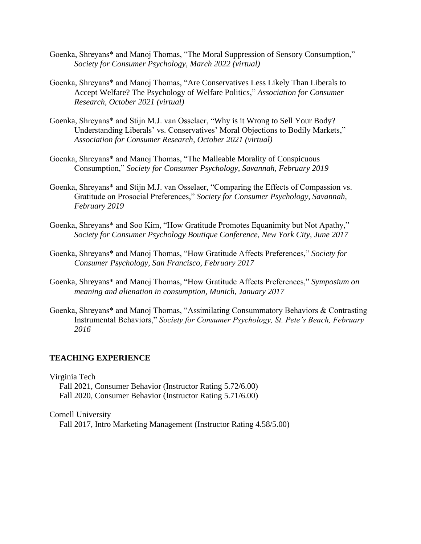- Goenka, Shreyans\* and Manoj Thomas, "The Moral Suppression of Sensory Consumption," *Society for Consumer Psychology, March 2022 (virtual)*
- Goenka, Shreyans\* and Manoj Thomas, "Are Conservatives Less Likely Than Liberals to Accept Welfare? The Psychology of Welfare Politics," *Association for Consumer Research, October 2021 (virtual)*
- Goenka, Shreyans\* and Stijn M.J. van Osselaer, "Why is it Wrong to Sell Your Body? Understanding Liberals' vs. Conservatives' Moral Objections to Bodily Markets," *Association for Consumer Research, October 2021 (virtual)*
- Goenka, Shreyans\* and Manoj Thomas, "The Malleable Morality of Conspicuous Consumption," *Society for Consumer Psychology, Savannah, February 2019*
- Goenka, Shreyans\* and Stijn M.J. van Osselaer, "Comparing the Effects of Compassion vs. Gratitude on Prosocial Preferences," *Society for Consumer Psychology, Savannah, February 2019*
- Goenka, Shreyans\* and Soo Kim, "How Gratitude Promotes Equanimity but Not Apathy," *Society for Consumer Psychology Boutique Conference, New York City, June 2017*
- Goenka, Shreyans\* and Manoj Thomas, "How Gratitude Affects Preferences," *Society for Consumer Psychology, San Francisco, February 2017*
- Goenka, Shreyans\* and Manoj Thomas, "How Gratitude Affects Preferences," *Symposium on meaning and alienation in consumption, Munich, January 2017*
- Goenka, Shreyans\* and Manoj Thomas, "Assimilating Consummatory Behaviors & Contrasting Instrumental Behaviors," *Society for Consumer Psychology, St. Pete's Beach, February 2016*

#### **TEACHING EXPERIENCE**

Virginia Tech

Fall 2021, Consumer Behavior (Instructor Rating 5.72/6.00) Fall 2020, Consumer Behavior (Instructor Rating 5.71/6.00)

Cornell University

Fall 2017, Intro Marketing Management (Instructor Rating 4.58/5.00)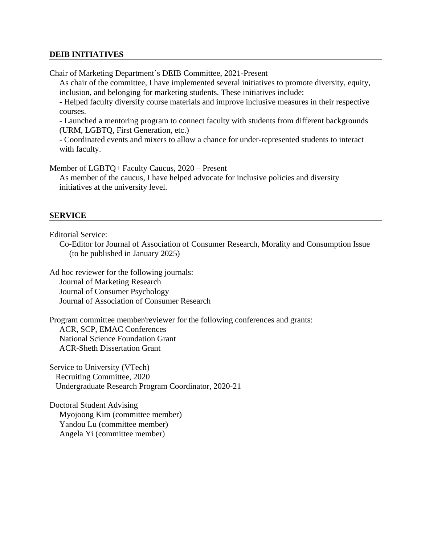### **DEIB INITIATIVES**

Chair of Marketing Department's DEIB Committee, 2021-Present

As chair of the committee, I have implemented several initiatives to promote diversity, equity, inclusion, and belonging for marketing students. These initiatives include:

- Helped faculty diversify course materials and improve inclusive measures in their respective courses.

- Launched a mentoring program to connect faculty with students from different backgrounds (URM, LGBTQ, First Generation, etc.)

- Coordinated events and mixers to allow a chance for under-represented students to interact with faculty.

Member of LGBTQ+ Faculty Caucus, 2020 – Present

As member of the caucus, I have helped advocate for inclusive policies and diversity initiatives at the university level.

#### **SERVICE**

Editorial Service:

Co-Editor for Journal of Association of Consumer Research, Morality and Consumption Issue (to be published in January 2025)

Ad hoc reviewer for the following journals: Journal of Marketing Research Journal of Consumer Psychology Journal of Association of Consumer Research

Program committee member/reviewer for the following conferences and grants: ACR, SCP, EMAC Conferences National Science Foundation Grant ACR-Sheth Dissertation Grant

Service to University (VTech) Recruiting Committee, 2020 Undergraduate Research Program Coordinator, 2020-21

Doctoral Student Advising Myojoong Kim (committee member) Yandou Lu (committee member) Angela Yi (committee member)